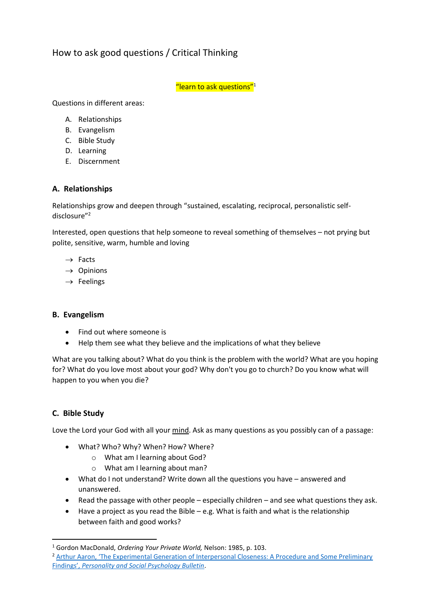# How to ask good questions / Critical Thinking

"learn to ask questions"<sup>1</sup>

Questions in different areas:

- A. Relationships
- B. Evangelism
- C. Bible Study
- D. Learning
- E. Discernment

## **A. Relationships**

Relationships grow and deepen through "sustained, escalating, reciprocal, personalistic selfdisclosure" 2

Interested, open questions that help someone to reveal something of themselves – not prying but polite, sensitive, warm, humble and loving

- $\rightarrow$  Facts
- $\rightarrow$  Opinions
- $\rightarrow$  Feelings

#### **B. Evangelism**

- Find out where someone is
- Help them see what they believe and the implications of what they believe

What are you talking about? What do you think is the problem with the world? What are you hoping for? What do you love most about your god? Why don't you go to church? Do you know what will happen to you when you die?

# **C. Bible Study**

1

Love the Lord your God with all your mind. Ask as many questions as you possibly can of a passage:

- What? Who? Why? When? How? Where?
	- o What am I learning about God?
	- o What am I learning about man?
- What do I not understand? Write down all the questions you have answered and unanswered.
- Read the passage with other people especially children and see what questions they ask.
- Have a project as you read the Bible e.g. What is faith and what is the relationship between faith and good works?

<sup>1</sup> Gordon MacDonald, *Ordering Your Private World,* Nelson: 1985, p. 103.

<sup>&</sup>lt;sup>2</sup> Arthur Aaron, 'The Experimental Generation of Interpersonal Closeness: A Procedure and Some Preliminary Findings', *[Personality and Social Psychology Bulletin](http://www.stafforini.com/txt/Aron%20et%20al%20-%20The%20experimental%20generation%20of%20interpersonal%20closeness.pdf)*.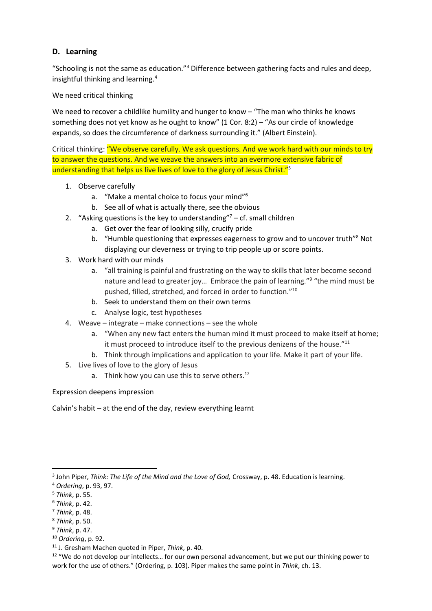# **D. Learning**

"Schooling is not the same as education."<sup>3</sup> Difference between gathering facts and rules and deep, insightful thinking and learning.<sup>4</sup>

We need critical thinking

We need to recover a childlike humility and hunger to know – "The man who thinks he knows something does not yet know as he ought to know" (1 Cor. 8:2) – "As our circle of knowledge expands, so does the circumference of darkness surrounding it." (Albert Einstein).

Critical thinking: "We observe carefully. We ask questions. And we work hard with our minds to try to answer the questions. And we weave the answers into an evermore extensive fabric of understanding that helps us live lives of love to the glory of Jesus Christ."<sup>5</sup>

- 1. Observe carefully
	- a. "Make a mental choice to focus your mind"<sup>6</sup>
	- b. See all of what is actually there, see the obvious
- 2. "Asking questions is the key to understanding" $7 cf$ . small children
	- a. Get over the fear of looking silly, crucify pride
	- b. "Humble questioning that expresses eagerness to grow and to uncover truth"<sup>8</sup> Not displaying our cleverness or trying to trip people up or score points.
- 3. Work hard with our minds
	- a. "all training is painful and frustrating on the way to skills that later become second nature and lead to greater joy... Embrace the pain of learning."<sup>9</sup> "the mind must be pushed, filled, stretched, and forced in order to function."<sup>10</sup>
	- b. Seek to understand them on their own terms
	- c. Analyse logic, test hypotheses
- 4. Weave integrate make connections see the whole
	- a. "When any new fact enters the human mind it must proceed to make itself at home; it must proceed to introduce itself to the previous denizens of the house."<sup>11</sup>
	- b. Think through implications and application to your life. Make it part of your life.
- 5. Live lives of love to the glory of Jesus
	- a. Think how you can use this to serve others.<sup>12</sup>

#### Expression deepens impression

Calvin's habit – at the end of the day, review everything learnt

**.** 

<sup>8</sup> *Think*, p. 50.

<sup>10</sup> *Ordering*, p. 92.

<sup>3</sup> John Piper, *Think: The Life of the Mind and the Love of God,* Crossway, p. 48. Education is learning.

<sup>4</sup> *Ordering*, p. 93, 97.

<sup>5</sup> *Think*, p. 55.

<sup>6</sup> *Think*, p. 42.

<sup>7</sup> *Think*, p. 48.

<sup>9</sup> *Think*, p. 47.

<sup>11</sup> J. Gresham Machen quoted in Piper, *Think*, p. 40.

<sup>&</sup>lt;sup>12</sup> "We do not develop our intellects... for our own personal advancement, but we put our thinking power to work for the use of others." (Ordering, p. 103). Piper makes the same point in *Think*, ch. 13.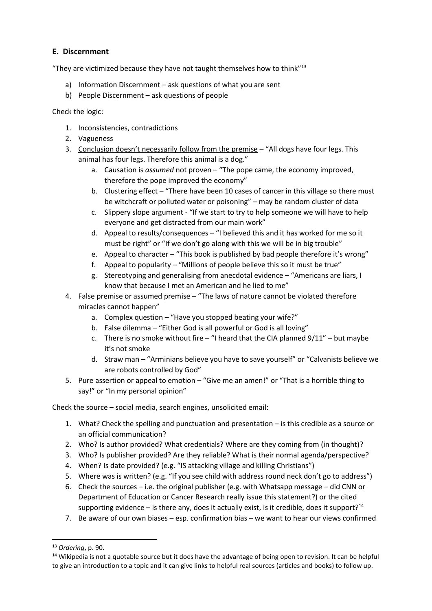## **E. Discernment**

"They are victimized because they have not taught themselves how to think $"^{13}$ 

- a) Information Discernment ask questions of what you are sent
- b) People Discernment ask questions of people

Check the logic:

- 1. Inconsistencies, contradictions
- 2. Vagueness
- 3. Conclusion doesn't necessarily follow from the premise "All dogs have four legs. This animal has four legs. Therefore this animal is a dog."
	- a. Causation is *assumed* not proven "The pope came, the economy improved, therefore the pope improved the economy"
	- b. Clustering effect "There have been 10 cases of cancer in this village so there must be witchcraft or polluted water or poisoning" – may be random cluster of data
	- c. Slippery slope argument "If we start to try to help someone we will have to help everyone and get distracted from our main work"
	- d. Appeal to results/consequences "I believed this and it has worked for me so it must be right" or "If we don't go along with this we will be in big trouble"
	- e. Appeal to character "This book is published by bad people therefore it's wrong"
	- f. Appeal to popularity "Millions of people believe this so it must be true"
	- g. Stereotyping and generalising from anecdotal evidence "Americans are liars, I know that because I met an American and he lied to me"
- 4. False premise or assumed premise "The laws of nature cannot be violated therefore miracles cannot happen"
	- a. Complex question "Have you stopped beating your wife?"
	- b. False dilemma "Either God is all powerful or God is all loving"
	- c. There is no smoke without fire  $-$  "I heard that the CIA planned  $9/11"$  but maybe it's not smoke
	- d. Straw man "Arminians believe you have to save yourself" or "Calvanists believe we are robots controlled by God"
- 5. Pure assertion or appeal to emotion "Give me an amen!" or "That is a horrible thing to say!" or "In my personal opinion"

Check the source – social media, search engines, unsolicited email:

- 1. What? Check the spelling and punctuation and presentation is this credible as a source or an official communication?
- 2. Who? Is author provided? What credentials? Where are they coming from (in thought)?
- 3. Who? Is publisher provided? Are they reliable? What is their normal agenda/perspective?
- 4. When? Is date provided? (e.g. "IS attacking village and killing Christians")
- 5. Where was is written? (e.g. "If you see child with address round neck don't go to address")
- 6. Check the sources i.e. the original publisher (e.g. with Whatsapp message did CNN or Department of Education or Cancer Research really issue this statement?) or the cited supporting evidence – is there any, does it actually exist, is it credible, does it support?<sup>14</sup>
- 7. Be aware of our own biases esp. confirmation bias we want to hear our views confirmed

1

<sup>13</sup> *Ordering*, p. 90.

<sup>&</sup>lt;sup>14</sup> Wikipedia is not a quotable source but it does have the advantage of being open to revision. It can be helpful to give an introduction to a topic and it can give links to helpful real sources (articles and books) to follow up.